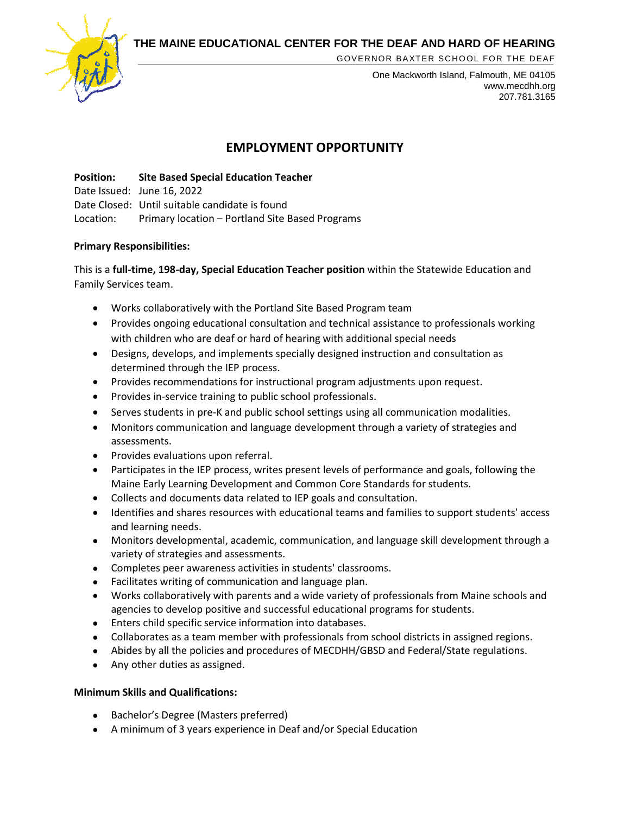**THE MAINE EDUCATIONAL CENTER FOR THE DEAF AND HARD OF HEARING**



GOVERNOR BAXTER SCHOOL FOR THE DEAF

One Mackworth Island, Falmouth, ME 04105 www.mecdhh.org 207.781.3165

# **EMPLOYMENT OPPORTUNITY**

**Position: Site Based Special Education Teacher** Date Issued: June 16, 2022 Date Closed: Until suitable candidate is found Location: Primary location – Portland Site Based Programs

## **Primary Responsibilities:**

This is a **full-time, 198-day, Special Education Teacher position** within the Statewide Education and Family Services team.

- Works collaboratively with the Portland Site Based Program team
- Provides ongoing educational consultation and technical assistance to professionals working with children who are deaf or hard of hearing with additional special needs
- Designs, develops, and implements specially designed instruction and consultation as determined through the IEP process.
- Provides recommendations for instructional program adjustments upon request.
- Provides in-service training to public school professionals.
- Serves students in pre-K and public school settings using all communication modalities.
- Monitors communication and language development through a variety of strategies and assessments.
- Provides evaluations upon referral.
- Participates in the IEP process, writes present levels of performance and goals, following the Maine Early Learning Development and Common Core Standards for students.
- Collects and documents data related to IEP goals and consultation.
- Identifies and shares resources with educational teams and families to support students' access and learning needs.
- Monitors developmental, academic, communication, and language skill development through a variety of strategies and assessments.
- Completes peer awareness activities in students' classrooms.
- Facilitates writing of communication and language plan.
- Works collaboratively with parents and a wide variety of professionals from Maine schools and agencies to develop positive and successful educational programs for students.
- Enters child specific service information into databases.
- Collaborates as a team member with professionals from school districts in assigned regions.
- Abides by all the policies and procedures of MECDHH/GBSD and Federal/State regulations.
- Any other duties as assigned.

## **Minimum Skills and Qualifications:**

- Bachelor's Degree (Masters preferred)
- A minimum of 3 years experience in Deaf and/or Special Education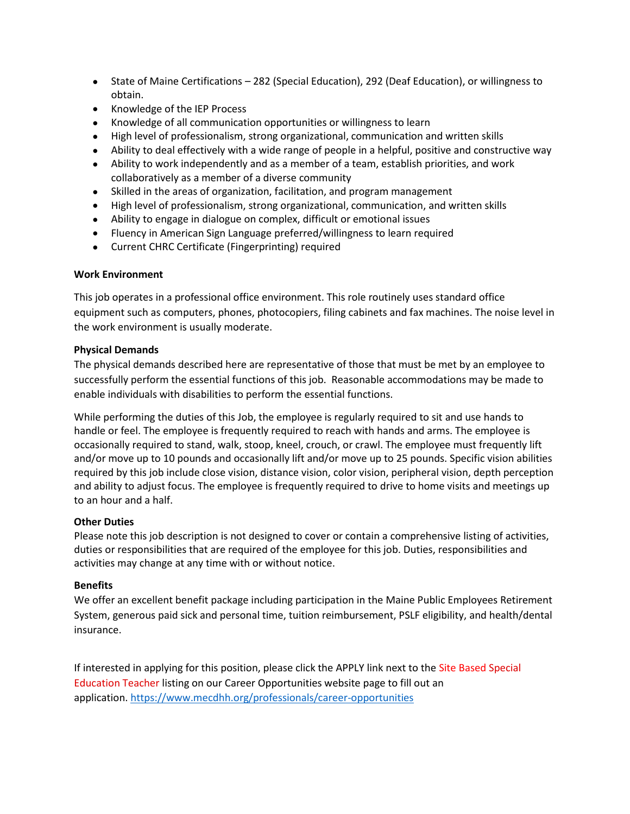- State of Maine Certifications 282 (Special Education), 292 (Deaf Education), or willingness to obtain.
- Knowledge of the IEP Process
- Knowledge of all communication opportunities or willingness to learn
- High level of professionalism, strong organizational, communication and written skills
- Ability to deal effectively with a wide range of people in a helpful, positive and constructive way
- Ability to work independently and as a member of a team, establish priorities, and work collaboratively as a member of a diverse community
- Skilled in the areas of organization, facilitation, and program management
- High level of professionalism, strong organizational, communication, and written skills
- Ability to engage in dialogue on complex, difficult or emotional issues
- Fluency in American Sign Language preferred/willingness to learn required
- Current CHRC Certificate (Fingerprinting) required

## **Work Environment**

This job operates in a professional office environment. This role routinely uses standard office equipment such as computers, phones, photocopiers, filing cabinets and fax machines. The noise level in the work environment is usually moderate.

## **Physical Demands**

The physical demands described here are representative of those that must be met by an employee to successfully perform the essential functions of this job. Reasonable accommodations may be made to enable individuals with disabilities to perform the essential functions.

While performing the duties of this Job, the employee is regularly required to sit and use hands to handle or feel. The employee is frequently required to reach with hands and arms. The employee is occasionally required to stand, walk, stoop, kneel, crouch, or crawl. The employee must frequently lift and/or move up to 10 pounds and occasionally lift and/or move up to 25 pounds. Specific vision abilities required by this job include close vision, distance vision, color vision, peripheral vision, depth perception and ability to adjust focus. The employee is frequently required to drive to home visits and meetings up to an hour and a half.

## **Other Duties**

Please note this job description is not designed to cover or contain a comprehensive listing of activities, duties or responsibilities that are required of the employee for this job. Duties, responsibilities and activities may change at any time with or without notice.

## **Benefits**

We offer an excellent benefit package including participation in the Maine Public Employees Retirement System, generous paid sick and personal time, tuition reimbursement, PSLF eligibility, and health/dental insurance.

If interested in applying for this position, please click the APPLY link next to the Site Based Special Education Teacher listing on our Career Opportunities website page to fill out an application. [https://www.mecdhh.org/professionals/career-opportunities](https://linkprotect.cudasvc.com/url?a=https%3a%2f%2fwww.mecdhh.org%2fprofessionals%2fcareer-opportunities&c=E,1,AzWI3yFakEDQ171JXHB1HZiFeFjr7H-FMZFj0lFr-AYTr4EFhF-ObQS-eWLn8MCsR0x88w9DhOTEwPdW0yFX-yCD7MFvOgDtbojlXUU_8Es,&typo=1)